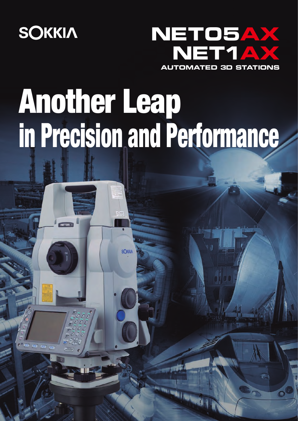

NETOS e



# Another Leap in Precision and Performance

**SOKKIA**